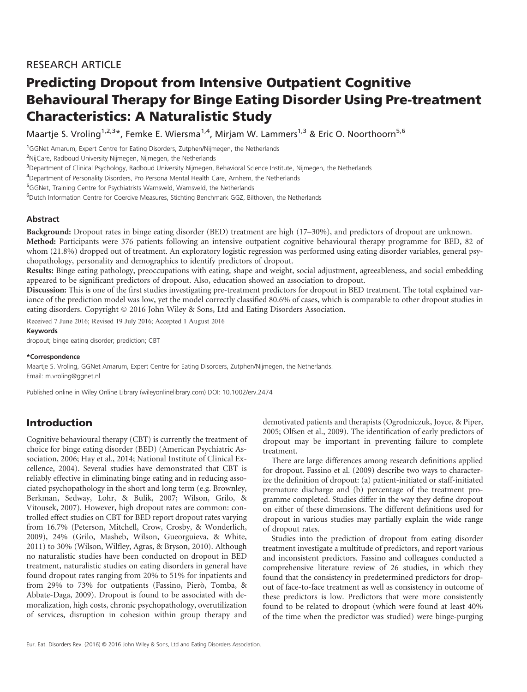# RESEARCH ARTICLE

# Predicting Dropout from Intensive Outpatient Cognitive Behavioural Therapy for Binge Eating Disorder Using Pre-treatment Characteristics: A Naturalistic Study

Maartje S. Vroling<sup>1,2,3\*</sup>, Femke E. Wiersma<sup>1,4</sup>, Mirjam W. Lammers<sup>1,3</sup> & Eric O. Noorthoorn<sup>5,6</sup>

<sup>1</sup>GGNet Amarum, Expert Centre for Eating Disorders, Zutphen/Nijmegen, the Netherlands

<sup>2</sup>NijCare, Radboud University Nijmegen, Nijmegen, the Netherlands

3 Department of Clinical Psychology, Radboud University Nijmegen, Behavioral Science Institute, Nijmegen, the Netherlands

<sup>4</sup>Department of Personality Disorders, Pro Persona Mental Health Care, Arnhem, the Netherlands

<sup>5</sup>GGNet, Training Centre for Psychiatrists Warnsveld, Warnsveld, the Netherlands

6 Dutch Information Centre for Coercive Measures, Stichting Benchmark GGZ, Bilthoven, the Netherlands

# **Abstract**

Background: Dropout rates in binge eating disorder (BED) treatment are high (17–30%), and predictors of dropout are unknown. Method: Participants were 376 patients following an intensive outpatient cognitive behavioural therapy programme for BED, 82 of whom (21.8%) dropped out of treatment. An exploratory logistic regression was performed using eating disorder variables, general psychopathology, personality and demographics to identify predictors of dropout.

Results: Binge eating pathology, preoccupations with eating, shape and weight, social adjustment, agreeableness, and social embedding appeared to be significant predictors of dropout. Also, education showed an association to dropout.

Discussion: This is one of the first studies investigating pre-treatment predictors for dropout in BED treatment. The total explained variance of the prediction model was low, yet the model correctly classified 80.6% of cases, which is comparable to other dropout studies in eating disorders. Copyright © 2016 John Wiley & Sons, Ltd and Eating Disorders Association.

Received 7 June 2016; Revised 19 July 2016; Accepted 1 August 2016

#### Keywords

dropout; binge eating disorder; prediction; CBT

#### \*Correspondence

Maartje S. Vroling, GGNet Amarum, Expert Centre for Eating Disorders, Zutphen/Nijmegen, the Netherlands. Email: m.vroling@ggnet.nl

Published online in Wiley Online Library (wileyonlinelibrary.com) DOI: 10.1002/erv.2474

# Introduction

Cognitive behavioural therapy (CBT) is currently the treatment of choice for binge eating disorder (BED) (American Psychiatric Association, 2006; Hay et al., 2014; National Institute of Clinical Excellence, 2004). Several studies have demonstrated that CBT is reliably effective in eliminating binge eating and in reducing associated psychopathology in the short and long term (e.g. Brownley, Berkman, Sedway, Lohr, & Bulik, 2007; Wilson, Grilo, & Vitousek, 2007). However, high dropout rates are common: controlled effect studies on CBT for BED report dropout rates varying from 16.7% (Peterson, Mitchell, Crow, Crosby, & Wonderlich, 2009), 24% (Grilo, Masheb, Wilson, Gueorguieva, & White, 2011) to 30% (Wilson, Wilfley, Agras, & Bryson, 2010). Although no naturalistic studies have been conducted on dropout in BED treatment, naturalistic studies on eating disorders in general have found dropout rates ranging from 20% to 51% for inpatients and from 29% to 73% for outpatients (Fassino, Pierò, Tomba, & Abbate-Daga, 2009). Dropout is found to be associated with demoralization, high costs, chronic psychopathology, overutilization of services, disruption in cohesion within group therapy and

demotivated patients and therapists (Ogrodniczuk, Joyce, & Piper, 2005; Olfsen et al., 2009). The identification of early predictors of dropout may be important in preventing failure to complete treatment.

There are large differences among research definitions applied for dropout. Fassino et al. (2009) describe two ways to characterize the definition of dropout: (a) patient-initiated or staff-initiated premature discharge and (b) percentage of the treatment programme completed. Studies differ in the way they define dropout on either of these dimensions. The different definitions used for dropout in various studies may partially explain the wide range of dropout rates.

Studies into the prediction of dropout from eating disorder treatment investigate a multitude of predictors, and report various and inconsistent predictors. Fassino and colleagues conducted a comprehensive literature review of 26 studies, in which they found that the consistency in predetermined predictors for dropout of face-to-face treatment as well as consistency in outcome of these predictors is low. Predictors that were more consistently found to be related to dropout (which were found at least 40% of the time when the predictor was studied) were binge-purging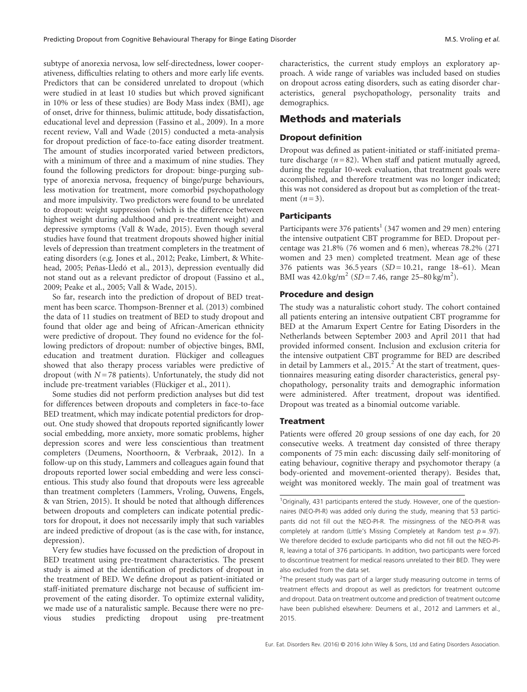subtype of anorexia nervosa, low self-directedness, lower cooperativeness, difficulties relating to others and more early life events. Predictors that can be considered unrelated to dropout (which were studied in at least 10 studies but which proved significant in 10% or less of these studies) are Body Mass index (BMI), age of onset, drive for thinness, bulimic attitude, body dissatisfaction, educational level and depression (Fassino et al., 2009). In a more recent review, Vall and Wade (2015) conducted a meta-analysis for dropout prediction of face-to-face eating disorder treatment. The amount of studies incorporated varied between predictors, with a minimum of three and a maximum of nine studies. They found the following predictors for dropout: binge-purging subtype of anorexia nervosa, frequency of binge/purge behaviours, less motivation for treatment, more comorbid psychopathology and more impulsivity. Two predictors were found to be unrelated to dropout: weight suppression (which is the difference between highest weight during adulthood and pre-treatment weight) and depressive symptoms (Vall & Wade, 2015). Even though several studies have found that treatment dropouts showed higher initial levels of depression than treatment completers in the treatment of eating disorders (e.g. Jones et al., 2012; Peake, Limbert, & Whitehead, 2005; Peñas-Lledó et al., 2013), depression eventually did not stand out as a relevant predictor of dropout (Fassino et al., 2009; Peake et al., 2005; Vall & Wade, 2015).

So far, research into the prediction of dropout of BED treatment has been scarce. Thompson-Brenner et al. (2013) combined the data of 11 studies on treatment of BED to study dropout and found that older age and being of African-American ethnicity were predictive of dropout. They found no evidence for the following predictors of dropout: number of objective binges, BMI, education and treatment duration. Flückiger and colleagues showed that also therapy process variables were predictive of dropout (with  $N = 78$  patients). Unfortunately, the study did not include pre-treatment variables (Flückiger et al., 2011).

Some studies did not perform prediction analyses but did test for differences between dropouts and completers in face-to-face BED treatment, which may indicate potential predictors for dropout. One study showed that dropouts reported significantly lower social embedding, more anxiety, more somatic problems, higher depression scores and were less conscientious than treatment completers (Deumens, Noorthoorn, & Verbraak, 2012). In a follow-up on this study, Lammers and colleagues again found that dropouts reported lower social embedding and were less conscientious. This study also found that dropouts were less agreeable than treatment completers (Lammers, Vroling, Ouwens, Engels, & van Strien, 2015). It should be noted that although differences between dropouts and completers can indicate potential predictors for dropout, it does not necessarily imply that such variables are indeed predictive of dropout (as is the case with, for instance, depression).

Very few studies have focussed on the prediction of dropout in BED treatment using pre-treatment characteristics. The present study is aimed at the identification of predictors of dropout in the treatment of BED. We define dropout as patient-initiated or staff-initiated premature discharge not because of sufficient improvement of the eating disorder. To optimize external validity, we made use of a naturalistic sample. Because there were no previous studies predicting dropout using pre-treatment characteristics, the current study employs an exploratory approach. A wide range of variables was included based on studies on dropout across eating disorders, such as eating disorder characteristics, general psychopathology, personality traits and demographics.

# Methods and materials

## Dropout definition

Dropout was defined as patient-initiated or staff-initiated premature discharge ( $n = 82$ ). When staff and patient mutually agreed, during the regular 10-week evaluation, that treatment goals were accomplished, and therefore treatment was no longer indicated; this was not considered as dropout but as completion of the treatment  $(n=3)$ .

# Participants

Participants were 376 patients<sup>1</sup> (347 women and 29 men) entering the intensive outpatient CBT programme for BED. Dropout percentage was 21.8% (76 women and 6 men), whereas 78.2% (271 women and 23 men) completed treatment. Mean age of these 376 patients was  $36.5$  years  $(SD = 10.21$ , range 18–61). Mean BMI was  $42.0 \text{ kg/m}^2$  (SD = 7.46, range 25–80 kg/m<sup>2</sup>).

## Procedure and design

The study was a naturalistic cohort study. The cohort contained all patients entering an intensive outpatient CBT programme for BED at the Amarum Expert Centre for Eating Disorders in the Netherlands between September 2003 and April 2011 that had provided informed consent. Inclusion and exclusion criteria for the intensive outpatient CBT programme for BED are described in detail by Lammers et al.,  $2015.<sup>2</sup>$  At the start of treatment, questionnaires measuring eating disorder characteristics, general psychopathology, personality traits and demographic information were administered. After treatment, dropout was identified. Dropout was treated as a binomial outcome variable.

### **Treatment**

Patients were offered 20 group sessions of one day each, for 20 consecutive weeks. A treatment day consisted of three therapy components of 75 min each: discussing daily self-monitoring of eating behaviour, cognitive therapy and psychomotor therapy (a body-oriented and movement-oriented therapy). Besides that, weight was monitored weekly. The main goal of treatment was

<sup>2</sup>The present study was part of a larger study measuring outcome in terms of treatment effects and dropout as well as predictors for treatment outcome and dropout. Data on treatment outcome and prediction of treatment outcome have been published elsewhere: Deumens et al., 2012 and Lammers et al., 2015.

<sup>&</sup>lt;sup>1</sup>Originally, 431 participants entered the study. However, one of the questionnaires (NEO-PI-R) was added only during the study, meaning that 53 participants did not fill out the NEO-PI-R. The missingness of the NEO-PI-R was completely at random (Little's Missing Completely at Random test  $p = .97$ ). We therefore decided to exclude participants who did not fill out the NEO-PI-R, leaving a total of 376 participants. In addition, two participants were forced to discontinue treatment for medical reasons unrelated to their BED. They were also excluded from the data set.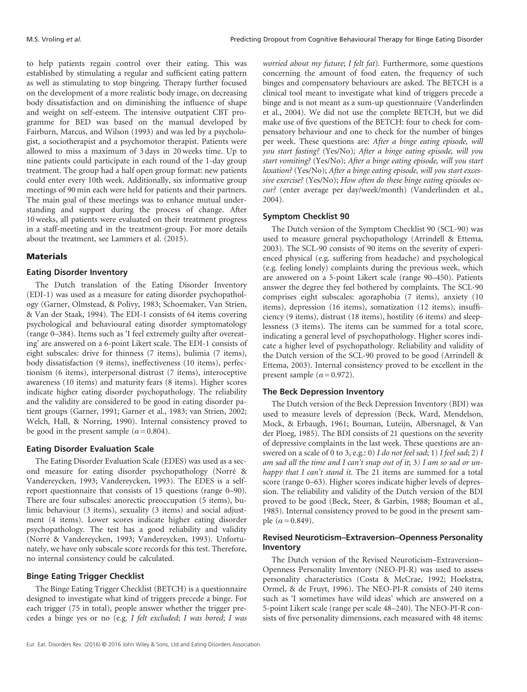to help patients regain control over their eating. This was established by stimulating a regular and sufficient eating pattern as well as stimulating to stop bingeing. Therapy further focused on the development of a more realistic body image, on decreasing body dissatisfaction and on diminishing the influence of shape and weight on self-esteem. The intensive outpatient CBT programme for BED was based on the manual developed by Fairburn, Marcus, and Wilson (1993) and was led by a psychologist, a sociotherapist and a psychomotor therapist. Patients were allowed to miss a maximum of 3 days in 20 weeks time. Up to nine patients could participate in each round of the 1-day group treatment. The group had a half open group format: new patients could enter every 10th week. Additionally, six informative group meetings of 90 min each were held for patients and their partners. The main goal of these meetings was to enhance mutual understanding and support during the process of change. After 10 weeks, all patients were evaluated on their treatment progress in a staff-meeting and in the treatment-group. For more details about the treatment, see Lammers et al. (2015).

#### **Materials**

### Eating Disorder Inventory

The Dutch translation of the Eating Disorder Inventory (EDI-1) was used as a measure for eating disorder psychopathology (Garner, Olmstead, & Polivy, 1983; Schoemaker, Van Strien, & Van der Staak, 1994). The EDI-1 consists of 64 items covering psychological and behavioural eating disorder symptomatology (range 0–384). Items such as 'I feel extremely guilty after overeating' are answered on a 6-point Likert scale. The EDI-1 consists of eight subscales: drive for thinness (7 items), bulimia (7 items), body dissatisfaction (9 items), ineffectiveness (10 items), perfectionism (6 items), interpersonal distrust (7 items), interoceptive awareness (10 items) and maturity fears (8 items). Higher scores indicate higher eating disorder psychopathology. The reliability and the validity are considered to be good in eating disorder patient groups (Garner, 1991; Garner et al., 1983; van Strien, 2002; Welch, Hall, & Norring, 1990). Internal consistency proved to be good in the present sample ( $\alpha$  = 0.804).

## Eating Disorder Evaluation Scale

The Eating Disorder Evaluation Scale (EDES) was used as a second measure for eating disorder psychopathology (Norré & Vandereycken, 1993; Vandereycken, 1993). The EDES is a selfreport questionnaire that consists of 15 questions (range 0–90). There are four subscales: anorectic preoccupation (5 items), bulimic behaviour (3 items), sexuality (3 items) and social adjustment (4 items). Lower scores indicate higher eating disorder psychopathology. The test has a good reliability and validity (Norré & Vandereycken, 1993; Vandereycken, 1993). Unfortunately, we have only subscale score records for this test. Therefore, no internal consistency could be calculated.

### Binge Eating Trigger Checklist

The Binge Eating Trigger Checklist (BETCH) is a questionnaire designed to investigate what kind of triggers precede a binge. For each trigger (75 in total), people answer whether the trigger precedes a binge yes or no (e.g. I felt excluded; I was bored; I was

worried about my future; I felt fat). Furthermore, some questions concerning the amount of food eaten, the frequency of such binges and compensatory behaviours are asked. The BETCH is a clinical tool meant to investigate what kind of triggers precede a binge and is not meant as a sum-up questionnaire (Vanderlinden et al., 2004). We did not use the complete BETCH, but we did make use of five questions of the BETCH: four to check for compensatory behaviour and one to check for the number of binges per week. These questions are: After a binge eating episode, will you start fasting? (Yes/No); After a binge eating episode, will you start vomiting? (Yes/No); After a binge eating episode, will you start laxation? (Yes/No); After a binge eating episode, will you start excessive exercise? (Yes/No); How often do these binge eating episodes occur? (enter average per day/week/month) (Vanderlinden et al., 2004).

#### Symptom Checklist 90

The Dutch version of the Symptom Checklist 90 (SCL-90) was used to measure general psychopathology (Arrindell & Ettema, 2003). The SCL-90 consists of 90 items on the severity of experienced physical (e.g. suffering from headache) and psychological (e.g. feeling lonely) complaints during the previous week, which are answered on a 5-point Likert scale (range 90–450). Patients answer the degree they feel bothered by complaints. The SCL-90 comprises eight subscales: agoraphobia (7 items), anxiety (10 items), depression (16 items), somatization (12 items), insufficiency (9 items), distrust (18 items), hostility (6 items) and sleeplessness (3 items). The items can be summed for a total score, indicating a general level of psychopathology. Higher scores indicate a higher level of psychopathology. Reliability and validity of the Dutch version of the SCL-90 proved to be good (Arrindell & Ettema, 2003). Internal consistency proved to be excellent in the present sample ( $\alpha$  = 0.972).

#### The Beck Depression Inventory

The Dutch version of the Beck Depression Inventory (BDI) was used to measure levels of depression (Beck, Ward, Mendelson, Mock, & Erbaugh, 1961; Bouman, Luteijn, Albersnagel, & Van der Ploeg, 1985). The BDI consists of 21 questions on the severity of depressive complaints in the last week. These questions are answered on a scale of 0 to 3, e.g.: 0) I do not feel sad; 1) I feel sad; 2) I am sad all the time and I can't snap out of it; 3) I am so sad or unhappy that I can't stand it. The 21 items are summed for a total score (range 0–63). Higher scores indicate higher levels of depression. The reliability and validity of the Dutch version of the BDI proved to be good (Beck, Steer, & Garbin, 1988; Bouman et al., 1985). Internal consistency proved to be good in the present sample  $(\alpha = 0.849)$ .

## Revised Neuroticism–Extraversion–Openness Personality Inventory

The Dutch version of the Revised Neuroticism–Extraversion– Openness Personality Inventory (NEO-PI-R) was used to assess personality characteristics (Costa & McCrae, 1992; Hoekstra, Ormel, & de Fruyt, 1996). The NEO-PI-R consists of 240 items such as 'I sometimes have wild ideas' which are answered on a 5-point Likert scale (range per scale 48–240). The NEO-PI-R consists of five personality dimensions, each measured with 48 items: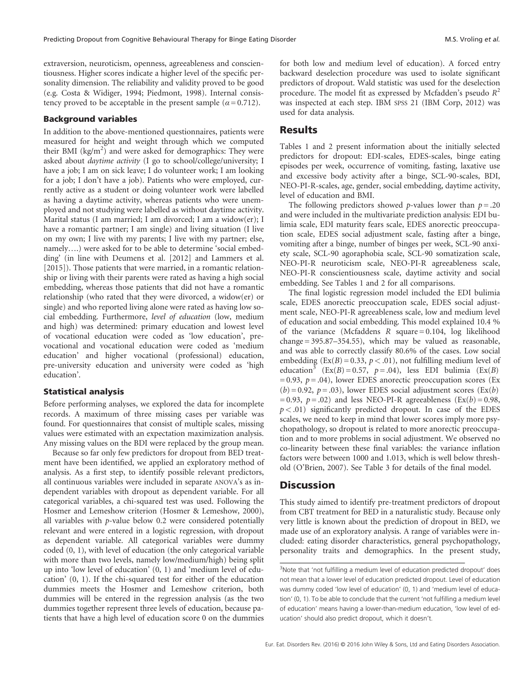extraversion, neuroticism, openness, agreeableness and conscientiousness. Higher scores indicate a higher level of the specific personality dimension. The reliability and validity proved to be good (e.g. Costa & Widiger, 1994; Piedmont, 1998). Internal consistency proved to be acceptable in the present sample ( $\alpha$  = 0.712).

#### Background variables

In addition to the above-mentioned questionnaires, patients were measured for height and weight through which we computed their BMI  $(kg/m^2)$  and were asked for demographics: They were asked about daytime activity (I go to school/college/university; I have a job; I am on sick leave; I do volunteer work; I am looking for a job; I don't have a job). Patients who were employed, currently active as a student or doing volunteer work were labelled as having a daytime activity, whereas patients who were unemployed and not studying were labelled as without daytime activity. Marital status (I am married; I am divorced; I am a widow(er); I have a romantic partner; I am single) and living situation (I live on my own; I live with my parents; I live with my partner; else, namely….) were asked for to be able to determine 'social embedding' (in line with Deumens et al. [2012] and Lammers et al. [2015]). Those patients that were married, in a romantic relationship or living with their parents were rated as having a high social embedding, whereas those patients that did not have a romantic relationship (who rated that they were divorced, a widow(er) or single) and who reported living alone were rated as having low social embedding. Furthermore, level of education (low, medium and high) was determined: primary education and lowest level of vocational education were coded as 'low education', prevocational and vocational education were coded as 'medium education' and higher vocational (professional) education, pre-university education and university were coded as 'high education'.

#### Statistical analysis

Before performing analyses, we explored the data for incomplete records. A maximum of three missing cases per variable was found. For questionnaires that consist of multiple scales, missing values were estimated with an expectation maximization analysis. Any missing values on the BDI were replaced by the group mean.

Because so far only few predictors for dropout from BED treatment have been identified, we applied an exploratory method of analysis. As a first step, to identify possible relevant predictors, all continuous variables were included in separate ANOVA's as independent variables with dropout as dependent variable. For all categorical variables, a chi-squared test was used. Following the Hosmer and Lemeshow criterion (Hosmer & Lemeshow, 2000), all variables with p-value below 0.2 were considered potentially relevant and were entered in a logistic regression, with dropout as dependent variable. All categorical variables were dummy coded (0, 1), with level of education (the only categorical variable with more than two levels, namely low/medium/high) being split up into 'low level of education' (0, 1) and 'medium level of education' (0, 1). If the chi-squared test for either of the education dummies meets the Hosmer and Lemeshow criterion, both dummies will be entered in the regression analysis (as the two dummies together represent three levels of education, because patients that have a high level of education score 0 on the dummies for both low and medium level of education). A forced entry backward deselection procedure was used to isolate significant predictors of dropout. Wald statistic was used for the deselection procedure. The model fit as expressed by Mcfadden's pseudo  $R^2$ was inspected at each step. IBM SPSS 21 (IBM Corp, 2012) was used for data analysis.

# **Results**

Tables 1 and 2 present information about the initially selected predictors for dropout: EDI-scales, EDES-scales, binge eating episodes per week, occurrence of vomiting, fasting, laxative use and excessive body activity after a binge, SCL-90-scales, BDI, NEO-PI-R-scales, age, gender, social embedding, daytime activity, level of education and BMI.

The following predictors showed p-values lower than  $p = .20$ and were included in the multivariate prediction analysis: EDI bulimia scale, EDI maturity fears scale, EDES anorectic preoccupation scale, EDES social adjustment scale, fasting after a binge, vomiting after a binge, number of binges per week, SCL-90 anxiety scale, SCL-90 agoraphobia scale, SCL-90 somatization scale, NEO-PI-R neuroticism scale, NEO-PI-R agreeableness scale, NEO-PI-R conscientiousness scale, daytime activity and social embedding. See Tables 1 and 2 for all comparisons.

The final logistic regression model included the EDI bulimia scale, EDES anorectic preoccupation scale, EDES social adjustment scale, NEO-PI-R agreeableness scale, low and medium level of education and social embedding. This model explained 10.4 % of the variance (Mcfaddens R square  $= 0.104$ , log likelihood change = 395.87–354.55), which may be valued as reasonable, and was able to correctly classify 80.6% of the cases. Low social embedding ( $Ex(B) = 0.33$ ,  $p < .01$ ), not fulfilling medium level of education<sup>3</sup> (Ex(B) = 0.57,  $p = .04$ ), less EDI bulimia (Ex(B)  $= 0.93$ ,  $p = .04$ ), lower EDES anorectic preoccupation scores (Ex  $(b) = 0.92$ ,  $p = .03$ ), lower EDES social adjustment scores (Ex(b) = 0.93,  $p = .02$ ) and less NEO-PI-R agreeableness (Ex(b) = 0.98,  $p < .01$ ) significantly predicted dropout. In case of the EDES scales, we need to keep in mind that lower scores imply more psychopathology, so dropout is related to more anorectic preoccupation and to more problems in social adjustment. We observed no co-linearity between these final variables: the variance inflation factors were between 1000 and 1.013, which is well below threshold (O'Brien, 2007). See Table 3 for details of the final model.

# **Discussion**

This study aimed to identify pre-treatment predictors of dropout from CBT treatment for BED in a naturalistic study. Because only very little is known about the prediction of dropout in BED, we made use of an exploratory analysis. A range of variables were included: eating disorder characteristics, general psychopathology, personality traits and demographics. In the present study,

<sup>&</sup>lt;sup>3</sup>Note that 'not fulfilling a medium level of education predicted dropout' does not mean that a lower level of education predicted dropout. Level of education was dummy coded 'low level of education' (0, 1) and 'medium level of education' (0, 1). To be able to conclude that the current 'not fulfilling a medium level of education' means having a lower-than-medium education, 'low level of education' should also predict dropout, which it doesn't.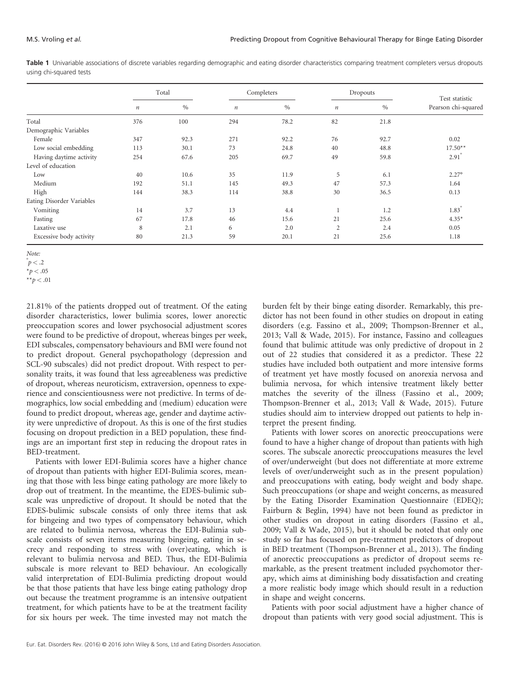|                           | Total   |      | Completers       |      | Dropouts         |      | Test statistic      |
|---------------------------|---------|------|------------------|------|------------------|------|---------------------|
|                           | $\it n$ | $\%$ | $\boldsymbol{n}$ | $\%$ | $\boldsymbol{n}$ | $\%$ | Pearson chi-squared |
| Total                     | 376     | 100  | 294              | 78.2 | 82               | 21.8 |                     |
| Demographic Variables     |         |      |                  |      |                  |      |                     |
| Female                    | 347     | 92.3 | 271              | 92.2 | 76               | 92.7 | 0.02                |
| Low social embedding      | 113     | 30.1 | 73               | 24.8 | 40               | 48.8 | $17.50**$           |
| Having daytime activity   | 254     | 67.6 | 205              | 69.7 | 49               | 59.8 | $2.91^\circ$        |
| Level of education        |         |      |                  |      |                  |      |                     |
| Low                       | 40      | 10.6 | 35               | 11.9 | 5                | 6.1  | $2.27^{\circ}$      |
| Medium                    | 192     | 51.1 | 145              | 49.3 | 47               | 57.3 | 1.64                |
| High                      | 144     | 38.3 | 114              | 38.8 | 30               | 36.5 | 0.13                |
| Eating Disorder Variables |         |      |                  |      |                  |      |                     |
| Vomiting                  | 14      | 3.7  | 13               | 4.4  |                  | 1.2  | $1.83^{\circ}$      |
| Fasting                   | 67      | 17.8 | 46               | 15.6 | 21               | 25.6 | $4.35*$             |
| Laxative use              | 8       | 2.1  | 6                | 2.0  | $\overline{2}$   | 2.4  | 0.05                |
| Excessive body activity   | 80      | 21.3 | 59               | 20.1 | 21               | 25.6 | 1.18                |

Table 1 Univariable associations of discrete variables regarding demographic and eating disorder characteristics comparing treatment completers versus dropouts using chi-squared tests

Note:

21.81% of the patients dropped out of treatment. Of the eating disorder characteristics, lower bulimia scores, lower anorectic preoccupation scores and lower psychosocial adjustment scores were found to be predictive of dropout, whereas binges per week, EDI subscales, compensatory behaviours and BMI were found not to predict dropout. General psychopathology (depression and SCL-90 subscales) did not predict dropout. With respect to personality traits, it was found that less agreeableness was predictive of dropout, whereas neuroticism, extraversion, openness to experience and conscientiousness were not predictive. In terms of demographics, low social embedding and (medium) education were found to predict dropout, whereas age, gender and daytime activity were unpredictive of dropout. As this is one of the first studies focusing on dropout prediction in a BED population, these findings are an important first step in reducing the dropout rates in BED-treatment.

Patients with lower EDI-Bulimia scores have a higher chance of dropout than patients with higher EDI-Bulimia scores, meaning that those with less binge eating pathology are more likely to drop out of treatment. In the meantime, the EDES-bulimic subscale was unpredictive of dropout. It should be noted that the EDES-bulimic subscale consists of only three items that ask for bingeing and two types of compensatory behaviour, which are related to bulimia nervosa, whereas the EDI-Bulimia subscale consists of seven items measuring bingeing, eating in secrecy and responding to stress with (over)eating, which is relevant to bulimia nervosa and BED. Thus, the EDI-Bulimia subscale is more relevant to BED behaviour. An ecologically valid interpretation of EDI-Bulimia predicting dropout would be that those patients that have less binge eating pathology drop out because the treatment programme is an intensive outpatient treatment, for which patients have to be at the treatment facility for six hours per week. The time invested may not match the burden felt by their binge eating disorder. Remarkably, this predictor has not been found in other studies on dropout in eating disorders (e.g. Fassino et al., 2009; Thompson-Brenner et al., 2013; Vall & Wade, 2015). For instance, Fassino and colleagues found that bulimic attitude was only predictive of dropout in 2 out of 22 studies that considered it as a predictor. These 22 studies have included both outpatient and more intensive forms of treatment yet have mostly focused on anorexia nervosa and bulimia nervosa, for which intensive treatment likely better matches the severity of the illness (Fassino et al., 2009; Thompson-Brenner et al., 2013; Vall & Wade, 2015). Future studies should aim to interview dropped out patients to help interpret the present finding.

Patients with lower scores on anorectic preoccupations were found to have a higher change of dropout than patients with high scores. The subscale anorectic preoccupations measures the level of over/underweight (but does not differentiate at more extreme levels of over/underweight such as in the present population) and preoccupations with eating, body weight and body shape. Such preoccupations (or shape and weight concerns, as measured by the Eating Disorder Examination Questionnaire (EDEQ); Fairburn & Beglin, 1994) have not been found as predictor in other studies on dropout in eating disorders (Fassino et al., 2009; Vall & Wade, 2015), but it should be noted that only one study so far has focused on pre-treatment predictors of dropout in BED treatment (Thompson-Brenner et al., 2013). The finding of anorectic preoccupations as predictor of dropout seems remarkable, as the present treatment included psychomotor therapy, which aims at diminishing body dissatisfaction and creating a more realistic body image which should result in a reduction in shape and weight concerns.

Patients with poor social adjustment have a higher chance of dropout than patients with very good social adjustment. This is

 $p<.2$ 

 $*_{p}$  < .05

<sup>\*\*</sup> $p < .01$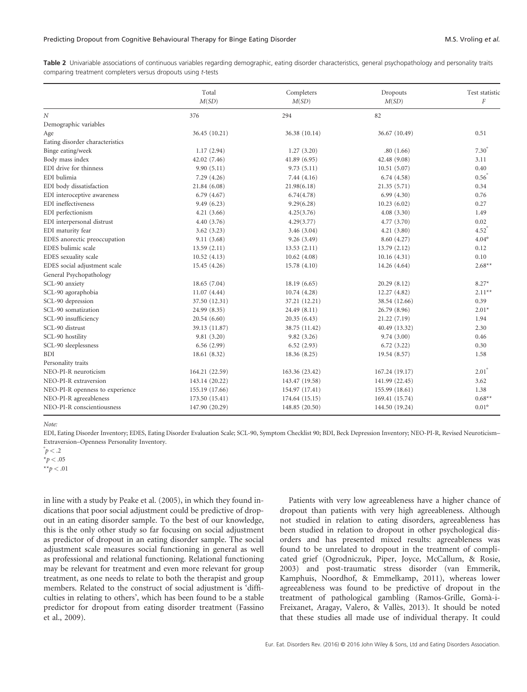Table 2 Univariable associations of continuous variables regarding demographic, eating disorder characteristics, general psychopathology and personality traits comparing treatment completers versus dropouts using t-tests

|                                 | Total<br>M(SD) | Completers<br>M(SD) | Dropouts<br>M(SD) | Test statistic<br>F |
|---------------------------------|----------------|---------------------|-------------------|---------------------|
|                                 |                |                     |                   |                     |
| $\boldsymbol{N}$                | 376            | 294                 | 82                |                     |
| Demographic variables           |                |                     |                   |                     |
| Age                             | 36.45 (10.21)  | 36.38 (10.14)       | 36.67 (10.49)     | 0.51                |
| Eating disorder characteristics |                |                     |                   |                     |
| Binge eating/week               | 1.17(2.94)     | 1.27(3.20)          | .80(1.66)         | $7.30^\circ$        |
| Body mass index                 | 42.02 (7.46)   | 41.89 (6.95)        | 42.48 (9.08)      | 3.11                |
| EDI drive for thinness          | 9.90(5.11)     | 9.73(5.11)          | 10.51(5.07)       | 0.40                |
| EDI bulimia                     | 7.29(4.26)     | 7.44(4.16)          | 6.74(4.58)        | $0.56^{\circ}$      |
| EDI body dissatisfaction        | 21.84 (6.08)   | 21.98(6.18)         | 21.35(5.71)       | 0.34                |
| EDI interoceptive awareness     | 6.79(4.67)     | 6.74(4.78)          | 6.99(4.30)        | 0.76                |
| EDI ineffectiveness             | 9.49(6.23)     | 9.29(6.28)          | 10.23(6.02)       | 0.27                |
| EDI perfectionism               | 4.21(3.66)     | 4.25(3.76)          | 4.08(3.30)        | 1.49                |
| EDI interpersonal distrust      | 4.40(3.76)     | 4.29(3.77)          | 4.77 (3.70)       | 0.02                |
| EDI maturity fear               | 3.62(3.23)     | 3.46(3.04)          | 4.21(3.80)        | $4.52^\circ$        |
| EDES anorectic preoccupation    | 9.11(3.68)     | 9.26(3.49)          | 8.60 (4.27)       | $4.04^{\circ}$      |
| EDES bulimic scale              | 13.59(2.11)    | 13.53(2.11)         | 13.79(2.12)       | 0.12                |
| EDES sexuality scale            | 10.52(4.13)    | 10.62(4.08)         | 10.16(4.31)       | 0.10                |
| EDES social adjustment scale    | 15.45 (4.26)   | 15.78(4.10)         | 14.26 (4.64)      | $2.68**$            |
| General Psychopathology         |                |                     |                   |                     |
| SCL-90 anxiety                  | 18.65(7.04)    | 18.19(6.65)         | 20.29(8.12)       | $8.27*$             |
| SCL-90 agoraphobia              | 11.07(4.44)    | 10.74(4.28)         | 12.27 (4.82)      | $2.11***$           |
| SCL-90 depression               | 37.50 (12.31)  | 37.21 (12.21)       | 38.54 (12.66)     | 0.39                |
| SCL-90 somatization             | 24.99 (8.35)   | 24.49 (8.11)        | 26.79 (8.96)      | $2.01*$             |
| SCL-90 insufficiency            | 20.54(6.60)    | 20.35(6.43)         | 21.22 (7.19)      | 1.94                |
| SCL-90 distrust                 | 39.13 (11.87)  | 38.75 (11.42)       | 40.49 (13.32)     | 2.30                |
| SCL-90 hostility                | 9.81(3.20)     | 9.82(3.26)          | 9.74(3.00)        | 0.46                |
| SCL-90 sleeplessness            | 6.56(2.99)     | 6.52(2.93)          | 6.72(3.22)        | 0.30                |
| <b>BDI</b>                      | 18.61 (8.32)   | 18.36 (8.25)        | 19.54 (8.57)      | 1.58                |
| Personality traits              |                |                     |                   |                     |
| NEO-PI-R neuroticism            | 164.21 (22.59) | 163.36 (23.42)      | 167.24 (19.17)    | $2.01^\circ$        |
| NEO-PI-R extraversion           | 143.14 (20.22) | 143.47 (19.58)      | 141.99 (22.45)    | 3.62                |
| NEO-PI-R openness to experience | 155.19 (17.66) | 154.97 (17.41)      | 155.99 (18.61)    | 1.38                |
| NEO-PI-R agreeableness          | 173.50 (15.41) | 174.64 (15.15)      | 169.41 (15.74)    | $0.68**$            |
| NEO-PI-R conscientiousness      | 147.90 (20.29) | 148.85 (20.50)      | 144.50 (19.24)    | $0.01^{\circ}$      |

Note:

EDI, Eating Disorder Inventory; EDES, Eating Disorder Evaluation Scale; SCL-90, Symptom Checklist 90; BDI, Beck Depression Inventory; NEO-PI-R, Revised Neuroticism– Extraversion–Openness Personality Inventory.

 $p < .2$ 

 $*_{p}$  < .05

\*\* $p < .01$ 

in line with a study by Peake et al. (2005), in which they found indications that poor social adjustment could be predictive of dropout in an eating disorder sample. To the best of our knowledge, this is the only other study so far focusing on social adjustment as predictor of dropout in an eating disorder sample. The social adjustment scale measures social functioning in general as well as professional and relational functioning. Relational functioning may be relevant for treatment and even more relevant for group treatment, as one needs to relate to both the therapist and group members. Related to the construct of social adjustment is 'difficulties in relating to others', which has been found to be a stable predictor for dropout from eating disorder treatment (Fassino et al., 2009).

Patients with very low agreeableness have a higher chance of dropout than patients with very high agreeableness. Although not studied in relation to eating disorders, agreeableness has been studied in relation to dropout in other psychological disorders and has presented mixed results: agreeableness was found to be unrelated to dropout in the treatment of complicated grief (Ogrodniczuk, Piper, Joyce, McCallum, & Rosie, 2003) and post-traumatic stress disorder (van Emmerik, Kamphuis, Noordhof, & Emmelkamp, 2011), whereas lower agreeableness was found to be predictive of dropout in the treatment of pathological gambling (Ramos-Grille, Gomà-i-Freixanet, Aragay, Valero, & Vallès, 2013). It should be noted that these studies all made use of individual therapy. It could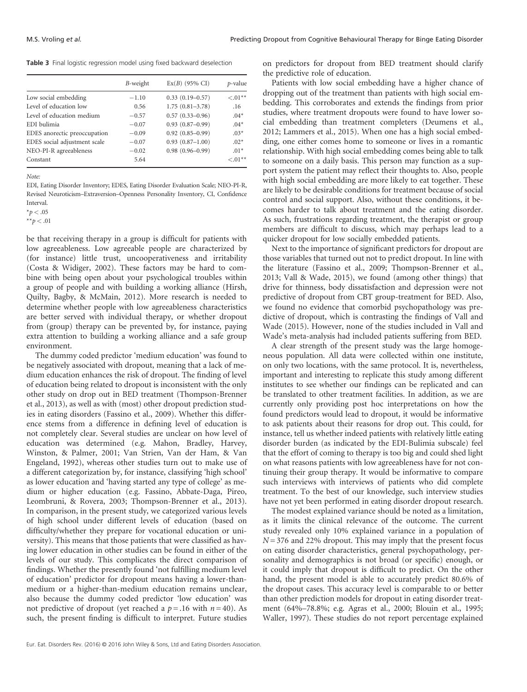Table 3 Final logistic regression model using fixed backward deselection

|                              | $B$ -weight | $Ex(B)$ (95% CI)    | <i>p</i> -value |
|------------------------------|-------------|---------------------|-----------------|
| Low social embedding         | $-1.10$     | $0.33(0.19 - 0.57)$ | $\leq 0.01**$   |
| Level of education low       | 0.56        | $1.75(0.81 - 3.78)$ | .16             |
| Level of education medium    | $-0.57$     | $0.57(0.33 - 0.96)$ | $.04*$          |
| EDI bulimia                  | $-0.07$     | $0.93(0.87-0.99)$   | $.04*$          |
| EDES anorectic preoccupation | $-0.09$     | $0.92(0.85 - 0.99)$ | $.03*$          |
| EDES social adjustment scale | $-0.07$     | $0.93(0.87 - 1.00)$ | $.02*$          |
| NEO-PI-R agreeableness       | $-0.02$     | $0.98(0.96 - 0.99)$ | $.01*$          |
| Constant                     | 5.64        |                     | $< 0.01**$      |

Note:

EDI, Eating Disorder Inventory; EDES, Eating Disorder Evaluation Scale; NEO-PI-R, Revised Neuroticism–Extraversion–Openness Personality Inventory, CI, Confidence Interval.

\*\* $p < .01$ 

be that receiving therapy in a group is difficult for patients with low agreeableness. Low agreeable people are characterized by (for instance) little trust, uncooperativeness and irritability (Costa & Widiger, 2002). These factors may be hard to combine with being open about your psychological troubles within a group of people and with building a working alliance (Hirsh, Quilty, Bagby, & McMain, 2012). More research is needed to determine whether people with low agreeableness characteristics are better served with individual therapy, or whether dropout from (group) therapy can be prevented by, for instance, paying extra attention to building a working alliance and a safe group environment.

The dummy coded predictor 'medium education' was found to be negatively associated with dropout, meaning that a lack of medium education enhances the risk of dropout. The finding of level of education being related to dropout is inconsistent with the only other study on drop out in BED treatment (Thompson-Brenner et al., 2013), as well as with (most) other dropout prediction studies in eating disorders (Fassino et al., 2009). Whether this difference stems from a difference in defining level of education is not completely clear. Several studies are unclear on how level of education was determined (e.g. Mahon, Bradley, Harvey, Winston, & Palmer, 2001; Van Strien, Van der Ham, & Van Engeland, 1992), whereas other studies turn out to make use of a different categorization by, for instance, classifying 'high school' as lower education and 'having started any type of college' as medium or higher education (e.g. Fassino, Abbate-Daga, Pireo, Leombruni, & Rovera, 2003; Thompson-Brenner et al., 2013). In comparison, in the present study, we categorized various levels of high school under different levels of education (based on difficulty/whether they prepare for vocational education or university). This means that those patients that were classified as having lower education in other studies can be found in either of the levels of our study. This complicates the direct comparison of findings. Whether the presently found 'not fulfilling medium level of education' predictor for dropout means having a lower-thanmedium or a higher-than-medium education remains unclear, also because the dummy coded predictor 'low education' was not predictive of dropout (yet reached a  $p = .16$  with  $n = 40$ ). As such, the present finding is difficult to interpret. Future studies

on predictors for dropout from BED treatment should clarify the predictive role of education.

Patients with low social embedding have a higher chance of dropping out of the treatment than patients with high social embedding. This corroborates and extends the findings from prior studies, where treatment dropouts were found to have lower social embedding than treatment completers (Deumens et al., 2012; Lammers et al., 2015). When one has a high social embedding, one either comes home to someone or lives in a romantic relationship. With high social embedding comes being able to talk to someone on a daily basis. This person may function as a support system the patient may reflect their thoughts to. Also, people with high social embedding are more likely to eat together. These are likely to be desirable conditions for treatment because of social control and social support. Also, without these conditions, it becomes harder to talk about treatment and the eating disorder. As such, frustrations regarding treatment, the therapist or group members are difficult to discuss, which may perhaps lead to a quicker dropout for low socially embedded patients.

Next to the importance of significant predictors for dropout are those variables that turned out not to predict dropout. In line with the literature (Fassino et al., 2009; Thompson-Brenner et al., 2013; Vall & Wade, 2015), we found (among other things) that drive for thinness, body dissatisfaction and depression were not predictive of dropout from CBT group-treatment for BED. Also, we found no evidence that comorbid psychopathology was predictive of dropout, which is contrasting the findings of Vall and Wade (2015). However, none of the studies included in Vall and Wade's meta-analysis had included patients suffering from BED.

A clear strength of the present study was the large homogeneous population. All data were collected within one institute, on only two locations, with the same protocol. It is, nevertheless, important and interesting to replicate this study among different institutes to see whether our findings can be replicated and can be translated to other treatment facilities. In addition, as we are currently only providing post hoc interpretations on how the found predictors would lead to dropout, it would be informative to ask patients about their reasons for drop out. This could, for instance, tell us whether indeed patients with relatively little eating disorder burden (as indicated by the EDI-Bulimia subscale) feel that the effort of coming to therapy is too big and could shed light on what reasons patients with low agreeableness have for not continuing their group therapy. It would be informative to compare such interviews with interviews of patients who did complete treatment. To the best of our knowledge, such interview studies have not yet been performed in eating disorder dropout research.

The modest explained variance should be noted as a limitation, as it limits the clinical relevance of the outcome. The current study revealed only 10% explained variance in a population of  $N = 376$  and 22% dropout. This may imply that the present focus on eating disorder characteristics, general psychopathology, personality and demographics is not broad (or specific) enough, or it could imply that dropout is difficult to predict. On the other hand, the present model is able to accurately predict 80.6% of the dropout cases. This accuracy level is comparable to or better than other prediction models for dropout in eating disorder treatment (64%–78.8%; e.g. Agras et al., 2000; Blouin et al., 1995; Waller, 1997). These studies do not report percentage explained

 $*_{p}$  < .05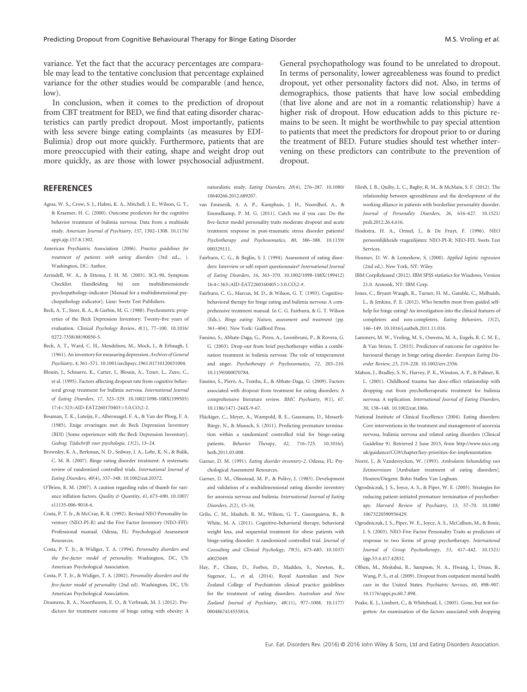variance. Yet the fact that the accuracy percentages are comparable may lead to the tentative conclusion that percentage explained variance for the other studies would be comparable (and hence,  $\vert$ ow $\rangle$ .

In conclusion, when it comes to the prediction of dropout from CBT treatment for BED, we find that eating disorder characteristics can partly predict dropout. Most importantly, patients with less severe binge eating complaints (as measures by EDI-Bulimia) drop out more quickly. Furthermore, patients that are more preoccupied with their eating, shape and weight drop out more quickly, as are those with lower psychosocial adjustment.

General psychopathology was found to be unrelated to dropout. In terms of personality, lower agreeableness was found to predict dropout, yet other personality factors did not. Also, in terms of demographics, those patients that have low social embedding (that live alone and are not in a romantic relationship) have a higher risk of dropout. How education adds to this picture remains to be seen. It might be worthwhile to pay special attention to patients that meet the predictors for dropout prior to or during the treatment of BED. Future studies should test whether intervening on these predictors can contribute to the prevention of dropout.

# **REFERENCES**

- Agras, W. S., Crow, S. J., Halmi, K. A., Mitchell, J. E., Wilson, G. T., & Kraemer, H. C. (2000). Outcome predictors for the cognitive behavior treatment of bulimia nervosa: Data from a multiside study. American Journal of Psychiatry, 157, 1302–1308. 10.1176/ appi.ajp.157.8.1302.
- American Psychiatric Association (2006). Practice guidelines for treatment of patients with eating disorders (3rd ed.,, ). Washington, DC: Author.
- Arrindell, W. A., & Ettema, J. H. M. (2003). SCL-90, Symptom Checklist. Handleiding bij een multidimensionele psychopathology-indicator [Manual for a multidimensional psychopathology indicator]. Lisse: Swets Test Publishers.
- Beck, A. T., Steer, R. A., & Garbin, M. G. (1988). Psychometric properties of the Beck Depression Inventory: Twenty-five years of evaluation. Clinical Psychology Review, 8(1), 77–100. 10.1016/ 0272-7358(88)90050-5.
- Beck, A. T., Ward, C. H., Mendelson, M., Mock, J., & Erbaugh, J. (1961). An inventory for measuring depression.Archives of General Psychiatry, 4, 561–571. 10.1001/archpsyc.1961.01710120031004.
- Blouin, J., Schnarre, K., Carter, J., Blouin, A., Tener, L., Zuro, C., et al. (1995). Factors affecting dropout rate from cognitive behavioral group treatment for bulimia nervosa. International Journal of Eating Disorders, 17, 323–329. 10.1002/1098-108X(199505) 17:4<323::AID-EAT2260170403>3.0.CO;2-2.
- Bouman, T. K., Luteijn, F., Albersnagel, F. A., & Van der Ploeg, F. A. (1985). Enige ervaringen met de Beck Depression Inventory (BDI) [Some experiences with the Beck Depression Inventory]. Gedrag: Tijdschrift voor psychologie, 13(2), 13–24.
- Brownley, K. A., Berkman, N. D., Sedway, J. A., Lohr, K. N., & Bulik, C. M. B. (2007). Binge eating disorder treatment: A systematic review of randomized controlled trials. International Journal of Eating Disorders, 40(4), 337–348. 10.1002/eat.20372.
- O'Brien, R. M. (2007). A caution regarding rules of thumb for variance inflation factors. Quality & Quantity, 41, 673–690. 10.1007/ s11135-006-9018-6.
- Costa, P. T. Jr., & McCrae, R. R. (1992). Revised NEO Personality Inventory (NEO-PI-R) and the Five Factor Inventory (NEO-FFI): Professional manual. Odessa, FL: Psychological Assessment Resources.
- Costa, P. T. Jr., & Widiger, T. A. (1994). Personality disorders and the five-factor model of personality. Washington, DC, US: American Psychological Association.
- Costa, P. T. Jr., & Widiger, T. A. (2002). Personality disorders and the five-factor model of personality (2nd ed). Washington, DC, US: American Psychological Association.
- Deumens, R. A., Noorthoorn, E. O., & Verbraak, M. J. (2012). Predictors for treatment outcome of binge eating with obesity: A

naturalistic study. Eating Disorders, 20(4), 276–287. 10.1080/ 10640266.2012.689207.

- van Emmerik, A. A. P., Kamphuis, J. H., Noordhof, A., & Emmelkamp, P. M. G. (2011). Catch me if you can: Do the five-factor model personality traits moderate dropout and acute treatment response in post-traumatic stress disorder patients? Psychotherapy and Psychosomatics, 80, 386–388. 10.1159/ 000329111.
- Fairburn, C. G., & Beglin, S. J. (1994). Assessment of eating disorders: Interview or self-report questionnaire? International Journal of Eating Disorders, 16, 363–370. 10.1002/1098-108X(199412) 16:4<363::AID-EAT2260160405>3.0.CO;2-#.
- Fairburn, C. G., Marcus, M. D., & Wilson, G. T. (1993). Cognitivebehavioral therapy for binge eating and bulimia nervosa: A comprehensive treatment manual. In C. G. Fairburn, & G. T. Wilson (Eds.), Binge eating: Nature, assessment and treatment (pp. 361–404). New York: Guilford Press.
- Fassino, S., Abbate-Daga, G., Pireo, A., Leombruni, P., & Rovera, G. G. (2003). Drop-out from brief psychotherapy within a combination treatment in bulimia nervosa: The role of temperament and anger. Psychotherapy & Psychosomatics, 72, 203-210. 10.1159/000070784.
- Fassino, S., Pierò, A., Tomba, E., & Abbate-Daga, G. (2009). Factors associated with dropout from treatment for eating disorders: A comprehensive literature review. BMC Psychiatry, 9(1), 67. 10.1186/1471-244X-9-67.
- Flückiger, C., Meyer, A., Wampold, B. E., Gassmann, D., Messerli-Bürgy, N., & Munsch, S. (2011). Predicting premature termination within a randomized controlled trial for binge-eating patients. Behavior Therapy, 42, 716–725. 10.1016/j. beth.2011.03.008.
- Garner, D. M. (1991). Eating disorder inventory-2. Odessa, FL: Psychological Assessment Resources.
- Garner, D. M., Olmstead, M. P., & Polivy, J. (1983). Development and validation of a multidimensional eating disorder inventory for anorexia nervosa and bulimia. International Journal of Eating Disorders, 2(2), 15–34.
- Grilo, C. M., Masheb, R. M., Wilson, G. T., Gueorguieva, R., & White, M. A. (2011). Cognitive–behavioral therapy, behavioral weight loss, and sequential treatment for obese patients with binge-eating disorder: A randomized controlled trial. Journal of Consulting and Clinical Psychology, 79(5), 675–685. 10.1037/ a0025049.
- Hay, P., Chinn, D., Forbes, D., Madden, S., Newton, R., Sugenor, L., et al. (2014). Royal Australian and New Zealand College of Psychiatrists clinical practice guidelines for the treatment of eating disorders. Australian and New Zealand Journal of Psychiatry, 48(11), 977–1008. 10.1177/ 0004867414555814.
- Hirsh, J. B., Quilty, L. C., Bagby, R. M., & McMain, S. F. (2012). The relationship between agreeableness and the development of the working alliance in patients with borderline personality disorder. Journal of Personality Disorders, 26, 616–627. 10.1521/ pedi.2012.26.4.616.
- Hoekstra, H. A., Ormel, J., & De Fruyt, F. (1996). NEO persoonlijkheids vragenlijsten: NEO-PI-R: NEO-FFI. Swets Test Services.
- Hosmer, D. W. & Lemeshow, S. (2000). Applied logistic regression (2nd ed.). New York, NY: Wiley.
- IBM CorpReleased (2012). IBM SPSS statistics for Windows, Version 21.0. Armonk, NY: IBM Corp.
- Jones, C., Bryant-Waugh, R., Turner, H. M., Gamble, C., Melhuish, L., & Jenkins, P. E. (2012). Who benefits most from guided selfhelp for binge eating? An investigation into the clinical features of completers and non-completers. Eating Behaviors, 13(2), 146–149. 10.1016/j.eatbeh.2011.11.016.
- Lammers, M. W., Vroling, M. S., Ouwens, M. A., Engels, R. C. M. E., & Van Strien, T. (2015). Predictors of outcome for cognitive behavioural therapy in binge eating disorder. European Eating Disorder Review, 23, 219–228. 10.1002/erv.2356.
- Mahon, J., Bradley, S. N., Harvey, P. K., Winston, A. P., & Palmer, R. L. (2001). Childhood trauma has dose-effect relationship with dropping out from psychotherapeutic treatment for bulimia nervosa: A replication. International Journal of Eating Disorders, 30, 138–148. 10.1002/eat.1066.
- National Institute of Clinical Excellence (2004). Eating disorders: Core interventions in the treatment and management of anorexia nervosa, bulimia nervosa and related eating disorders (Clinical Guideline 9). Retrieved 2 June 2015, from http://www.nice.org. uk/guidance/CG9/chapter/key-priorities-for-implementation
- Norré, J., & Vandereycken, W. (1993). Ambulante behandeling van Eetstoornissen [Ambulant treatment of eating disorders]. Houten/Diegem: Bohn Stafleu Van Loghum.
- Ogrodniczuk, J. S., Joyce, A. S., & Piper, W. E. (2005). Strategies for reducing patient-initiated premature termination of psychotherapy. Harvard Review of Psychiatry, 13, 57–70. 10.1080/ 10673220590956429.
- Ogrodniczuk, J. S., Piper, W. E., Joyce, A. S., McCallum, M., & Rosie, J. S. (2003). NEO-Five Factor Personality Traits as predictors of response to two forms of group psychotherapy. International Journal of Group Psychotherapy, 53, 417–442. 10.1521/ ijgp.53.4.417.42832.
- Olfsen, M., Mojtabai, R., Sampson, N. A., Hwang, I., Druss, B., Wang, P. S., et al. (2009). Dropout from outpatient mental health care in the United States. Psychiatric Services, 60, 898–907. 10.1176/appi.ps.60.7.898.
- Peake, K. J., Limbert, C., & Whitehead, L. (2005). Gone, but not forgotten: An examination of the factors associated with dropping